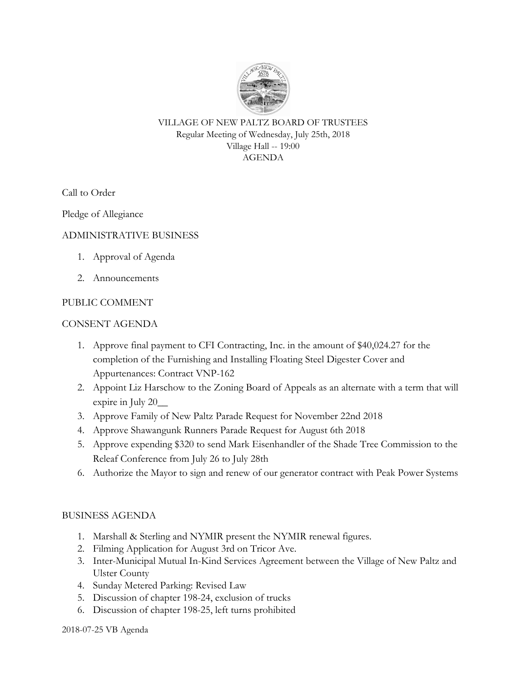

VILLAGE OF NEW PALTZ BOARD OF TRUSTEES Regular Meeting of Wednesday, July 25th, 2018 Village Hall -- 19:00 AGENDA

Call to Order

Pledge of Allegiance

## ADMINISTRATIVE BUSINESS

- 1. Approval of Agenda
- 2. Announcements

## PUBLIC COMMENT

#### CONSENT AGENDA

- 1. Approve final payment to CFI Contracting, Inc. in the amount of \$40,024.27 for the completion of the Furnishing and Installing Floating Steel Digester Cover and Appurtenances: Contract VNP-162
- 2. Appoint Liz Harschow to the Zoning Board of Appeals as an alternate with a term that will expire in July 20\_\_
- 3. Approve Family of New Paltz Parade Request for November 22nd 2018
- 4. Approve Shawangunk Runners Parade Request for August 6th 2018
- 5. Approve expending \$320 to send Mark Eisenhandler of the Shade Tree Commission to the Releaf Conference from July 26 to July 28th
- 6. Authorize the Mayor to sign and renew of our generator contract with Peak Power Systems

# BUSINESS AGENDA

- 1. Marshall & Sterling and NYMIR present the NYMIR renewal figures.
- 2. Filming Application for August 3rd on Tricor Ave.
- 3. Inter-Municipal Mutual In-Kind Services Agreement between the Village of New Paltz and Ulster County
- 4. Sunday Metered Parking: Revised Law
- 5. Discussion of chapter 198-24, exclusion of trucks
- 6. Discussion of chapter 198-25, left turns prohibited

2018-07-25 VB Agenda